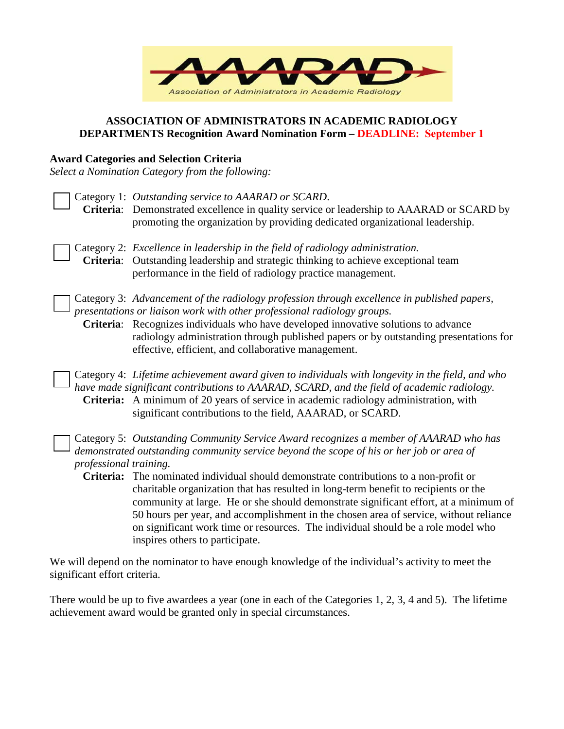

### **ASSOCIATION OF ADMINISTRATORS IN ACADEMIC RADIOLOGY DEPARTMENTS Recognition Award Nomination Form – DEADLINE: September 1**

## **Award Categories and Selection Criteria**

*Select a Nomination Category from the following:* 

Category 1: *Outstanding service to AAARAD or SCARD*. **Criteria**: Demonstrated excellence in quality service or leadership to AAARAD or SCARD by promoting the organization by providing dedicated organizational leadership. Category 2: *Excellence in leadership in the field of radiology administration.* **Criteria**: Outstanding leadership and strategic thinking to achieve exceptional team performance in the field of radiology practice management. Category 3: *Advancement of the radiology profession through excellence in published papers, presentations or liaison work with other professional radiology groups.*  **Criteria**: Recognizes individuals who have developed innovative solutions to advance radiology administration through published papers or by outstanding presentations for effective, efficient, and collaborative management. Category 4: *Lifetime achievement award given to individuals with longevity in the field, and who have made significant contributions to AAARAD, SCARD, and the field of academic radiology.*  **Criteria:** A minimum of 20 years of service in academic radiology administration, with significant contributions to the field, AAARAD, or SCARD. Category 5: *Outstanding Community Service Award recognizes a member of AAARAD who has demonstrated outstanding community service beyond the scope of his or her job or area of professional training.*  **Criteria:** The nominated individual should demonstrate contributions to a non-profit or charitable organization that has resulted in long-term benefit to recipients or the community at large. He or she should demonstrate significant effort, at a minimum of 50 hours per year, and accomplishment in the chosen area of service, without reliance on significant work time or resources. The individual should be a role model who inspires others to participate.

We will depend on the nominator to have enough knowledge of the individual's activity to meet the significant effort criteria.

There would be up to five awardees a year (one in each of the Categories 1, 2, 3, 4 and 5). The lifetime achievement award would be granted only in special circumstances.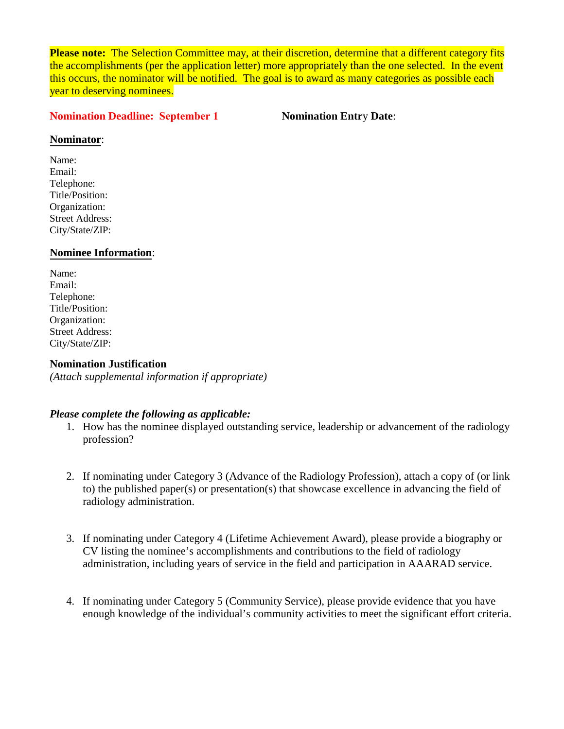**Please note:** The Selection Committee may, at their discretion, determine that a different category fits the accomplishments (per the application letter) more appropriately than the one selected. In the event this occurs, the nominator will be notified. The goal is to award as many categories as possible each year to deserving nominees.

#### **Nomination Deadline: September 1 Nomination Entr**y **Date**:

#### **Nominator**:

Name: Email: Telephone: Title/Position: Organization: Street Address: City/State/ZIP:

### **Nominee Information**:

Name: Email: Telephone: Title/Position: Organization: Street Address: City/State/ZIP:

### **Nomination Justification**

*(Attach supplemental information if appropriate)* 

#### *Please complete the following as applicable:*

- 1. How has the nominee displayed outstanding service, leadership or advancement of the radiology profession?
- 2. If nominating under Category 3 (Advance of the Radiology Profession), attach a copy of (or link to) the published paper(s) or presentation(s) that showcase excellence in advancing the field of radiology administration.
- 3. If nominating under Category 4 (Lifetime Achievement Award), please provide a biography or CV listing the nominee's accomplishments and contributions to the field of radiology administration, including years of service in the field and participation in AAARAD service.
- 4. If nominating under Category 5 (Community Service), please provide evidence that you have enough knowledge of the individual's community activities to meet the significant effort criteria.